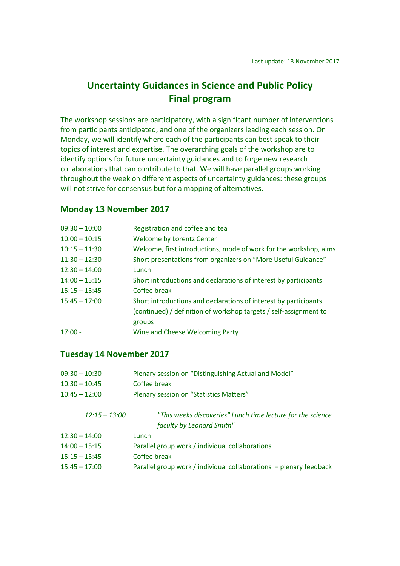# **Uncertainty Guidances in Science and Public Policy Final program**

The workshop sessions are participatory, with a significant number of interventions from participants anticipated, and one of the organizers leading each session. On Monday, we will identify where each of the participants can best speak to their topics of interest and expertise. The overarching goals of the workshop are to identify options for future uncertainty guidances and to forge new research collaborations that can contribute to that. We will have parallel groups working throughout the week on different aspects of uncertainty guidances: these groups will not strive for consensus but for a mapping of alternatives.

### **Monday 13 November 2017**

| $09:30 - 10:00$ | Registration and coffee and tea                                   |
|-----------------|-------------------------------------------------------------------|
| $10:00 - 10:15$ | <b>Welcome by Lorentz Center</b>                                  |
| $10:15 - 11:30$ | Welcome, first introductions, mode of work for the workshop, aims |
| $11:30 - 12:30$ | Short presentations from organizers on "More Useful Guidance"     |
| $12:30 - 14:00$ | Lunch                                                             |
| $14:00 - 15:15$ | Short introductions and declarations of interest by participants  |
| $15:15 - 15:45$ | Coffee break                                                      |
| $15:45 - 17:00$ | Short introductions and declarations of interest by participants  |
|                 | (continued) / definition of workshop targets / self-assignment to |
|                 | groups                                                            |
| $17:00 -$       | Wine and Cheese Welcoming Party                                   |
|                 |                                                                   |

#### **Tuesday 14 November 2017**

| Plenary session on "Distinguishing Actual and Model"               |
|--------------------------------------------------------------------|
| Coffee break                                                       |
| Plenary session on "Statistics Matters"                            |
| "This weeks discoveries" Lunch time lecture for the science        |
| faculty by Leonard Smith"                                          |
| Lunch                                                              |
| Parallel group work / individual collaborations                    |
| Coffee break                                                       |
| Parallel group work / individual collaborations - plenary feedback |
|                                                                    |